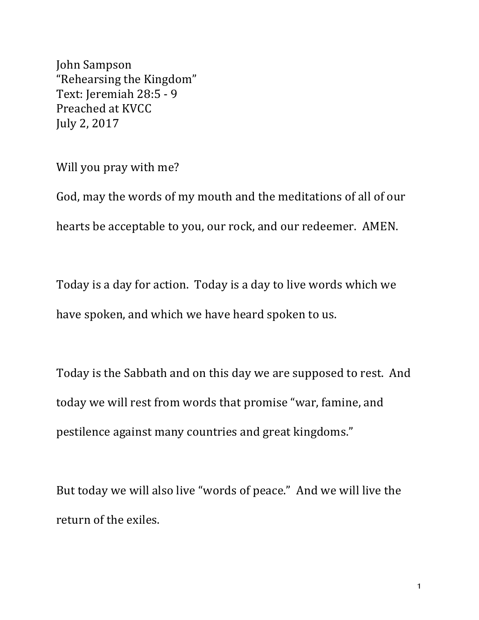John Sampson "Rehearsing the Kingdom" Text: Jeremiah 28:5 - 9 Preached at KVCC July 2, 2017

Will you pray with me?

God, may the words of my mouth and the meditations of all of our hearts be acceptable to you, our rock, and our redeemer. AMEN.

Today is a day for action. Today is a day to live words which we have spoken, and which we have heard spoken to us.

Today is the Sabbath and on this day we are supposed to rest. And today we will rest from words that promise "war, famine, and pestilence against many countries and great kingdoms."

But today we will also live "words of peace." And we will live the return of the exiles.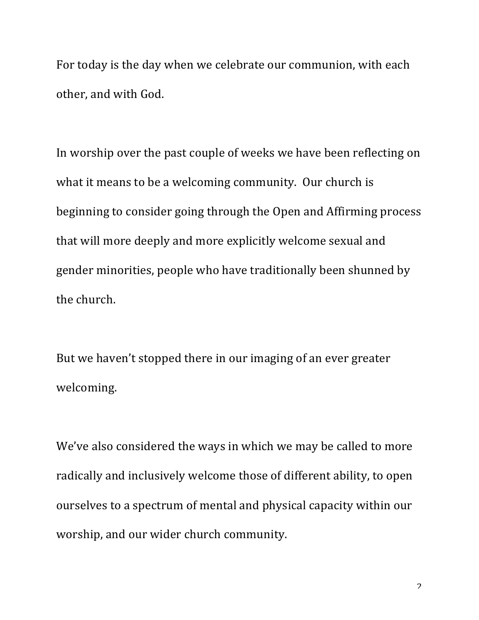For today is the day when we celebrate our communion, with each other, and with God.

In worship over the past couple of weeks we have been reflecting on what it means to be a welcoming community. Our church is beginning to consider going through the Open and Affirming process that will more deeply and more explicitly welcome sexual and gender minorities, people who have traditionally been shunned by the church.

But we haven't stopped there in our imaging of an ever greater welcoming.

We've also considered the ways in which we may be called to more radically and inclusively welcome those of different ability, to open ourselves to a spectrum of mental and physical capacity within our worship, and our wider church community.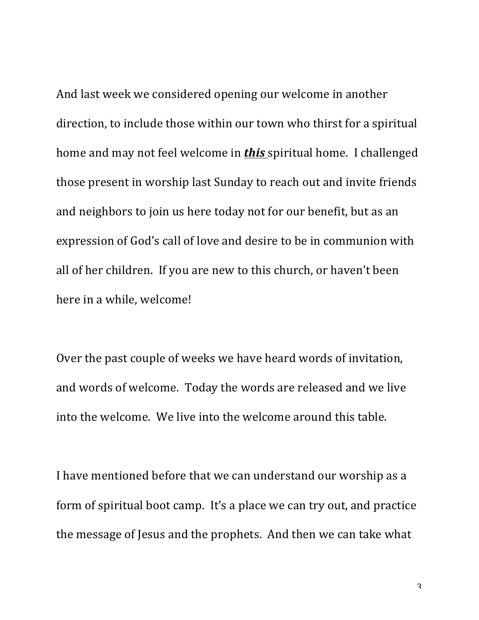And last week we considered opening our welcome in another direction, to include those within our town who thirst for a spiritual home and may not feel welcome in **this** spiritual home. I challenged those present in worship last Sunday to reach out and invite friends and neighbors to join us here today not for our benefit, but as an expression of God's call of love and desire to be in communion with all of her children. If you are new to this church, or haven't been here in a while, welcome!

Over the past couple of weeks we have heard words of invitation, and words of welcome. Today the words are released and we live into the welcome. We live into the welcome around this table.

I have mentioned before that we can understand our worship as a form of spiritual boot camp. It's a place we can try out, and practice the message of Jesus and the prophets. And then we can take what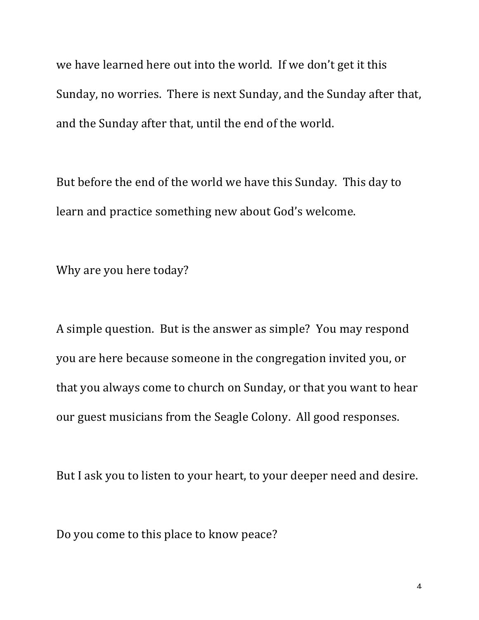we have learned here out into the world. If we don't get it this Sunday, no worries. There is next Sunday, and the Sunday after that, and the Sunday after that, until the end of the world.

But before the end of the world we have this Sunday. This day to learn and practice something new about God's welcome.

Why are you here today?

A simple question. But is the answer as simple? You may respond you are here because someone in the congregation invited you, or that you always come to church on Sunday, or that you want to hear our guest musicians from the Seagle Colony. All good responses.

But I ask you to listen to your heart, to your deeper need and desire.

Do you come to this place to know peace?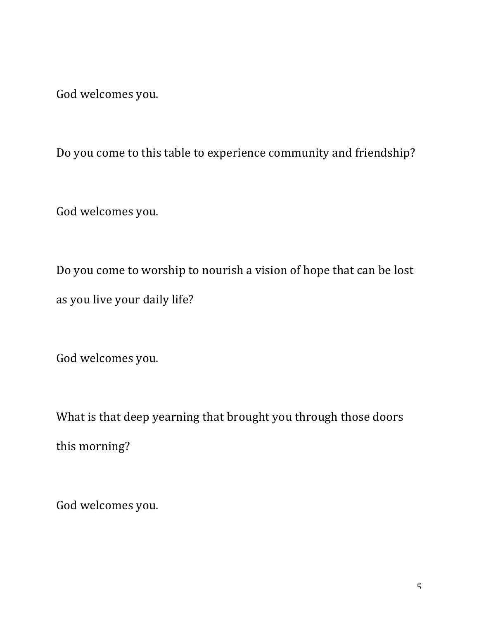God welcomes you.

Do you come to this table to experience community and friendship?

God welcomes you.

Do you come to worship to nourish a vision of hope that can be lost as you live your daily life?

God welcomes you.

What is that deep yearning that brought you through those doors this morning?

God welcomes you.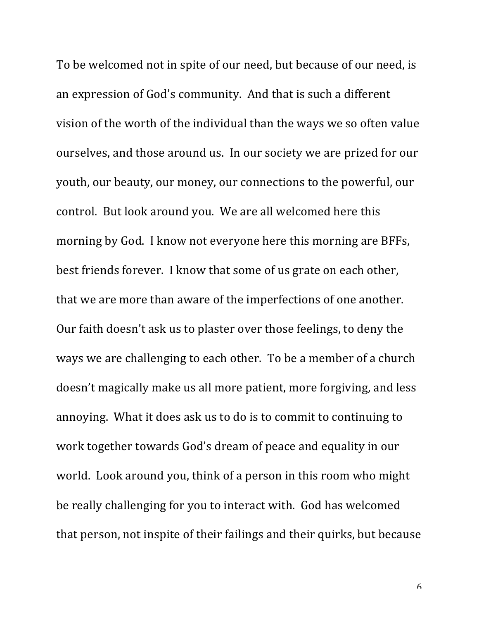To be welcomed not in spite of our need, but because of our need, is an expression of God's community. And that is such a different vision of the worth of the individual than the ways we so often value ourselves, and those around us. In our society we are prized for our youth, our beauty, our money, our connections to the powerful, our control. But look around you. We are all welcomed here this morning by God. I know not everyone here this morning are BFFs, best friends forever. I know that some of us grate on each other, that we are more than aware of the imperfections of one another. Our faith doesn't ask us to plaster over those feelings, to deny the ways we are challenging to each other. To be a member of a church doesn't magically make us all more patient, more forgiving, and less annoying. What it does ask us to do is to commit to continuing to work together towards God's dream of peace and equality in our world. Look around you, think of a person in this room who might be really challenging for you to interact with. God has welcomed that person, not inspite of their failings and their quirks, but because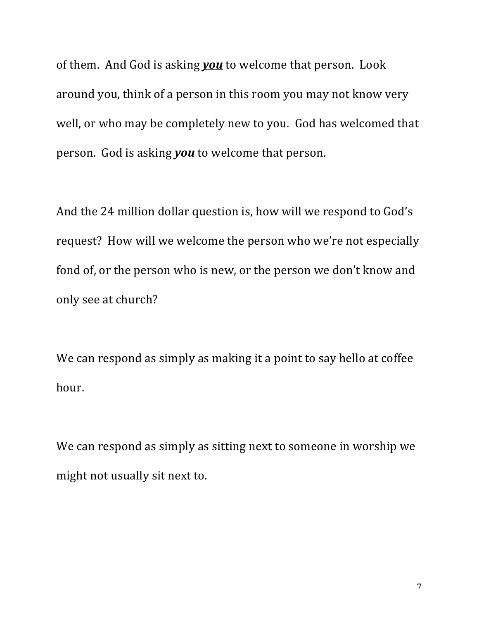of them. And God is asking **you** to welcome that person. Look around you, think of a person in this room you may not know very well, or who may be completely new to you. God has welcomed that person. God is asking **you** to welcome that person.

And the 24 million dollar question is, how will we respond to God's request? How will we welcome the person who we're not especially fond of, or the person who is new, or the person we don't know and only see at church?

We can respond as simply as making it a point to say hello at coffee hour.

We can respond as simply as sitting next to someone in worship we might not usually sit next to.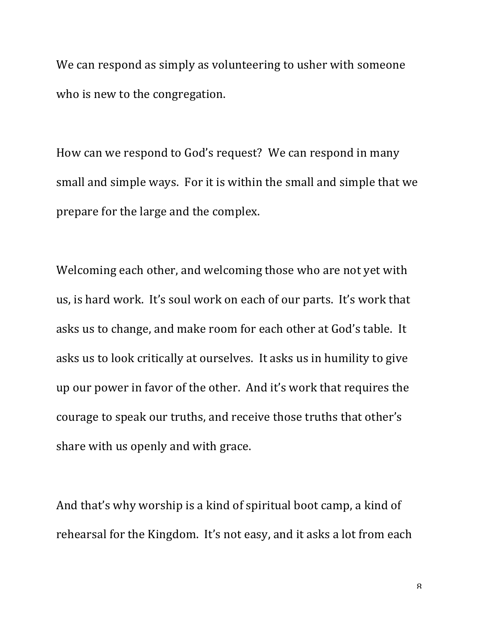We can respond as simply as volunteering to usher with someone who is new to the congregation.

How can we respond to God's request? We can respond in many small and simple ways. For it is within the small and simple that we prepare for the large and the complex.

Welcoming each other, and welcoming those who are not yet with us, is hard work. It's soul work on each of our parts. It's work that asks us to change, and make room for each other at God's table. It asks us to look critically at ourselves. It asks us in humility to give up our power in favor of the other. And it's work that requires the courage to speak our truths, and receive those truths that other's share with us openly and with grace.

And that's why worship is a kind of spiritual boot camp, a kind of rehearsal for the Kingdom. It's not easy, and it asks a lot from each